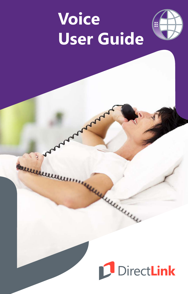# **Voice User Guide**



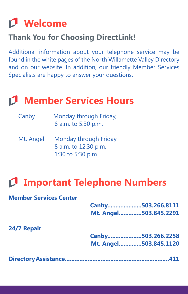## **Welcome**

## **Thank You for Choosing DirectLink!**

Additional information about your telephone service may be found in the white pages of the North Willamette Valley Directory and on our website. In addition, our friendly Member Services Specialists are happy to answer your questions.

## **Member Services Hours**

| Canby | Monday through Friday, |  |  |
|-------|------------------------|--|--|
|       | 8 a.m. to 5:30 p.m.    |  |  |

Mt. Angel Monday through Friday 8 a.m. to 12:30 p.m. 1:30 to 5:30 p.m.

## **Important Telephone Numbers**

#### **Member Services Center**

|             | Canby503.266.8111     |
|-------------|-----------------------|
|             | Mt. Angel503.845.2291 |
| 24/7 Repair |                       |
|             | Canby503.266.2258     |
|             | Mt. Angel503.845.1120 |
|             |                       |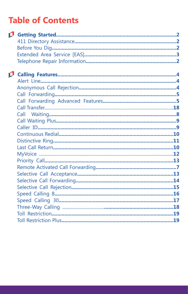## **Table of Contents**

| D. |  |
|----|--|
|    |  |
|    |  |
|    |  |
|    |  |
|    |  |
| D. |  |
|    |  |
|    |  |
|    |  |
|    |  |
|    |  |
|    |  |
|    |  |
|    |  |
|    |  |
|    |  |
|    |  |
|    |  |
|    |  |
|    |  |
|    |  |
|    |  |
|    |  |
|    |  |
|    |  |
|    |  |
|    |  |
|    |  |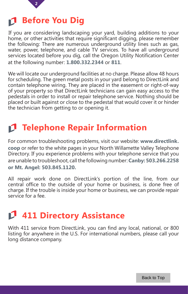

## <span id="page-3-0"></span>**Before You Dig**

If you are considering landscaping your yard, building additions to your home, or other activities that require significant digging, please remember the following: There are numerous underground utility lines such as gas, water, power, telephone, and cable TV services. To have all underground services located before you dig, call the Oregon Utility Notification Center at the following number: **1.800.332.2344** or **811**.

We will locate our underground facilities at no charge. Please allow 48 hours for scheduling. The green metal posts in your yard belong to DirectLink and contain telephone wiring. They are placed in the easement or right-of-way of your property so that DirectLink technicians can gain easy access to the pedestals in order to install or repair telephone service. Nothing should be placed or built against or close to the pedestal that would cover it or hinder the technician from getting to or opening it.

## **Telephone Repair Information**

For common troubleshooting problems, visit our website: **www.directlink. coop** or refer to the white pages in your North Willamette Valley Telephone Directory. If you experience problems with your telephone service that you are unable to troubleshoot, call the following number: **Canby: 503.266.2258 or Mt. Angel: 503.845.1120.**

All repair work done on DirectLink's portion of the line, from our central office to the outside of your home or business, is done free of charge. If the trouble is inside your home or business, we can provide repair service for a fee.

## **411 Directory Assistance**

With 411 service from DirectLink, you can find any local, national, or 800 listing for anywhere in the U.S. For international numbers, please call your long distance company.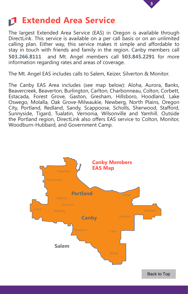

## **Extended Area Service**

The largest Extended Area Service (EAS) in Oregon is available through DirectLink. This service is available on a per call basis or on an unlimited calling plan. Either way, this service makes it simple and affordable to stay in touch with friends and family in the region. Canby members call **503.266.8111** and Mt. Angel members call **503.845.2291** for more information regarding rates and areas of coverage.

The Mt. Angel EAS includes calls to Salem, Keizer, Silverton & Monitor.

The Canby EAS Area includes (see map below): Aloha, Aurora, Banks, Beavercreek, Beaverton, Burlington, Carlton, Charbonneau, Colton, Corbett, Estacada, Forest Grove, Gaston, Gresham, Hillsboro, Hoodland, Lake Oswego, Molalla, Oak Grove-Milwaukie, Newberg, North Plains, Oregon City, Portland, Redland, Sandy, Scappoose, Scholls, Sherwood, Stafford, Sunnyside, Tigard, Tualatin, Vernonia, Wilsonville and Yamhill. Outside the Portland region, DirectLink also offers EAS service to Colton, Monitor, Woodburn-Hubbard, and Government Camp.

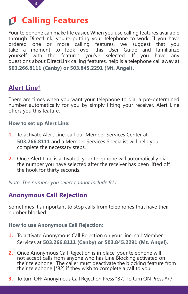

## <span id="page-5-0"></span>**Calling Features**

Your telephone can make life easier. When you use calling features available through DirectLink, you're putting your telephone to work. If you have ordered one or more calling features, we suggest that you take a moment to look over this User Guide and familiarize yourself with the features you've selected. If you have any questions about DirectLink calling features, help is a telephone call away at **503.266.8111 (Canby) or 503.845.2291 (Mt. Angel).**

### **Alert Line†**

There are times when you want your telephone to dial a pre-determined number automatically for you by simply lifting your receiver. Alert Line offers you this feature.

#### **How to set up Alert Line:**

- **1.** To activate Alert Line, call our Member Services Center at **503.266.8111** and a Member Services Specialist will help you complete the necessary steps.
- **2.** Once Alert Line is activated, your telephone will automatically dial the number you have selected after the receiver has been lifted off the hook for thirty seconds.

*Note: The number you select cannot include 911.*

## **Anonymous Call Rejection**

Sometimes it's important to stop calls from telephones that have their number blocked.

**How to use Anonymous Call Rejection:**

- **1.** To activate Anonymous Call Rejection on your line, call Member Services at **503.266.8111 (Canby) or 503.845.2291 (Mt. Angel).**
- **2.** Once Anonymous Call Rejection is in place, your telephone will not accept calls from anyone who has Line Blocking activated on their telephone. The caller must deactivate the blocking feature from their telephone [\*82] if they wish to complete a call to you.
- **3.** To turn OFF Anonymous Call Rejection Press \*87. To turn ON Press \*77.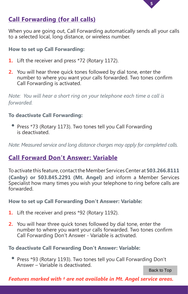

## <span id="page-6-0"></span>**Call Forwarding (for all calls)**

When you are going out, Call Forwarding automatically sends all your calls to a selected local, long distance, or wireless number.

#### **How to set up Call Forwarding:**

- **1.** Lift the receiver and press \*72 (Rotary 1172).
- **2.** You will hear three quick tones followed by dial tone, enter the number to where you want your calls forwarded. Two tones confirm Call Forwarding is activated.

*Note: You will hear a short ring on your telephone each time a call is forwarded.*

#### **To deactivate Call Forwarding:**

• Press \*73 (Rotary 1173). Two tones tell you Call Forwarding is deactivated.

*Note: Measured service and long distance charges may apply for completed calls.* 

## **Call Forward Don't Answer: Variable**

To activate this feature, contact the Member Services Center at **503.266.8111 (Canby) or 503.845.2291 (Mt. Angel)** and inform a Member Services Specialist how many times you wish your telephone to ring before calls are forwarded.

#### **How to set up Call Forwarding Don't Answer: Variable:**

- **1.** Lift the receiver and press \*92 (Rotary 1192).
- **2.** You will hear three quick tones followed by dial tone, enter the number to where you want your calls forwarded. Two tones confirm Call Forwarding Don't Answer - Variable is activated.

#### **To deactivate Call Forwarding Don't Answer: Variable:**

• Press \*93 (Rotary 1193). Two tones tell you Call Forwarding Don't Answer – Variable is deactivated.

Back to Top

*Features marked with † are not available in Mt. Angel service areas.*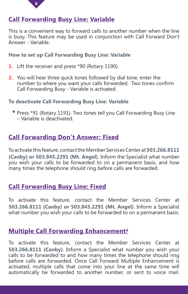

## **Call Forwarding Busy Line: Variable**

This is a convenient way to forward calls to another number when the line is busy. This feature may be used in conjunction with Call Forward Don't Answer - Variable.

#### **How to set up Call Forwarding Busy Line: Variable**

- **1.** Lift the receiver and press \*90 (Rotary 1190).
- **2.** You will hear three quick tones followed by dial tone, enter the number to where you want your calls forwarded. Two tones confirm Call Forwarding Busy - Variable is activated.

#### **To deactivate Call Forwarding Busy Line: Variable**

• Press \*91 (Rotary 1191). Two tones tell you Call Forwarding Busy Line – Variable is deactivated.

### **Call Forwarding Don't Answer: Fixed**

To activate this feature, contact the Member Services Center at **503.266.8111 (Canby) or 503.845.2291 (Mt. Angel)**. Inform the Specialist what number you wish your calls to be forwarded to on a permanent basis, and how many times the telephone should ring before calls are forwarded.

### **Call Forwarding Busy Line: Fixed**

To activate this feature, contact the Member Services Center at **503.266.8111 (Canby) or 503.845.2291 (Mt. Angel)**. Inform a Specialist what number you wish your calls to be forwarded to on a permanent basis.

## **Multiple Call Forwarding Enhancement†**

To activate this feature, contact the Member Services Center at **503.266.8111 (Canby)**. Inform a Specialist what number you wish your calls to be forwarded to and how many times the telephone should ring before calls are forwarded. Once Call Forward Multiple Enhancement is activated, multiple calls that come into your line at the same time will automatically be forwarded to another number, or sent to voice mail.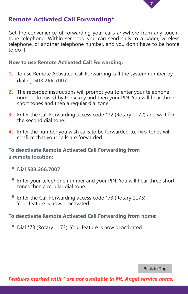

### <span id="page-8-0"></span>**Remote Activated Call Forwarding†**

Get the convenience of forwarding your calls anywhere from any touchtone telephone. Within seconds, you can send calls to a pager, wireless telephone, or another telephone number, and you don't have to be home to do it!

#### **How to use Remote Activated Call Forwarding:**

- **1.** To use Remote Activated Call Forwarding call the system number by dialing **503.266.7007.**
- **2.** The recorded instructions will prompt you to enter your telephone number followed by the # key and then your PIN. You will hear three short tones and then a regular dial tone.
- **3.** Enter the Call Forwarding access code \*72 (Rotary 1172) and wait for the second dial tone.
- **4.** Enter the number you wish calls to be forwarded to. Two-tones will confirm that your calls are forwarded.

#### **To deactivate Remote Activated Call Forwarding from a remote location:**

- Dial **503.266.7007**.
- Enter your telephone number and your PIN. You will hear three short tones then a regular dial tone.
- Enter the Call Forwarding access code \*73 (Rotary 1173). Your feature is now deactivated.

**To deactivate Remote Activated Call Forwarding from home:**

Dial \*73 (Rotary 1173). Your feature is now deactivated.

Back to Top

*Features marked with † are not available in Mt. Angel service areas.*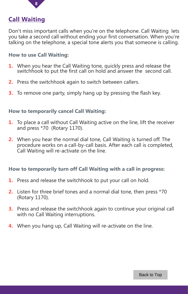<span id="page-9-0"></span>

### **Call Waiting**

Don't miss important calls when you're on the telephone. Call Waiting lets you take a second call without ending your first conversation. When you're talking on the telephone, a special tone alerts you that someone is calling.

#### **How to use Call Waiting:**

- **1.** When you hear the Call Waiting tone, quickly press and release the switchhook to put the first call on hold and answer the second call.
- **2.** Press the switchhook again to switch between callers.
- **3.** To remove one party, simply hang up by pressing the flash key.

#### **How to temporarily cancel Call Waiting:**

- **1.** To place a call without Call Waiting active on the line, lift the receiver and press \*70 (Rotary 1170).
- **2.** When you hear the normal dial tone, Call Waiting is turned off. The procedure works on a call-by-call basis. After each call is completed, Call Waiting will re-activate on the line.

#### **How to temporarily turn off Call Waiting with a call in progress:**

- **1.** Press and release the switchhook to put your call on hold.
- **2.** Listen for three brief tones and a normal dial tone, then press \*70 (Rotary 1170).
- **3.** Press and release the switchhook again to continue your original call with no Call Waiting interruptions.
- **4.** When you hang up, Call Waiting will re-activate on the line.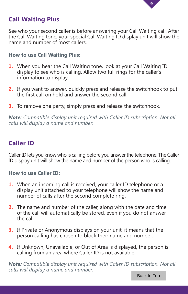

## <span id="page-10-0"></span>**Call Waiting Plus**

See who your second caller is before answering your Call Waiting call. After the Call Waiting tone, your special Call Waiting ID display unit will show the name and number of most callers.

#### **How to use Call Waiting Plus:**

- **1.** When you hear the Call Waiting tone, look at your Call Waiting ID display to see who is calling. Allow two full rings for the caller's information to display.
- **2.** If you want to answer, quickly press and release the switchhook to put the first call on hold and answer the second call.
- **3.** To remove one party, simply press and release the switchhook.

*Note: Compatible display unit required with Caller ID subscription. Not all calls will display a name and number.*

### **Caller ID**

Caller ID lets you know who is calling before you answer the telephone. The Caller ID display unit will show the name and number of the person who is calling.

#### **How to use Caller ID:**

- **1.** When an incoming call is received, your caller ID telephone or a display unit attached to your telephone will show the name and number of calls after the second complete ring.
- **2.** The name and number of the caller, along with the date and time of the call will automatically be stored, even if you do not answer the call.
- **3.** If Private or Anonymous displays on your unit, it means that the person calling has chosen to block their name and number.
- **4.** If Unknown, Unavailable, or Out of Area is displayed, the person is calling from an area where Caller ID is not available.

*Note: Compatible display unit required with Caller ID subscription. Not all calls will display a name and number.*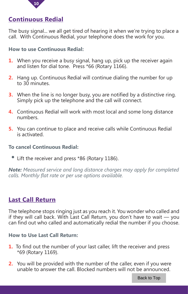

## <span id="page-11-0"></span>**Continuous Redial**

The busy signal... we all get tired of hearing it when we're trying to place a call. With Continuous Redial, your telephone does the work for you.

#### **How to use Continuous Redial:**

- **1.** When you receive a busy signal, hang up, pick up the receiver again and listen for dial tone. Press \*66 (Rotary 1166).
- **2.** Hang up. Continuous Redial will continue dialing the number for up to 30 minutes.
- **3.** When the line is no longer busy, you are notified by a distinctive ring. Simply pick up the telephone and the call will connect.
- **4.** Continuous Redial will work with most local and some long distance numbers.
- **5.** You can continue to place and receive calls while Continuous Redial is activated.

#### **To cancel Continuous Redial:**

Lift the receiver and press \*86 (Rotary 1186).

*Note: Measured service and long distance charges may apply for completed calls. Monthly flat rate or per use options available.*

### **Last Call Return**

The telephone stops ringing just as you reach it. You wonder who called and if they will call back. With Last Call Return, you don't have to wait — you can find out who called and automatically redial the number if you choose.

#### **How to Use Last Call Return:**

- **1.** To find out the number of your last caller, lift the receiver and press \*69 (Rotary 1169).
- **2.** You will be provided with the number of the caller, even if you were unable to answer the call. Blocked numbers will not be announced.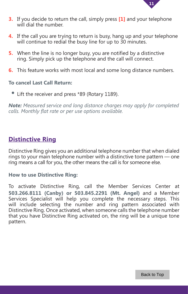

- <span id="page-12-0"></span>**3.** If you decide to return the call, simply press **[1]** and your telephone will dial the number.
- **4.** If the call you are trying to return is busy, hang up and your telephone will continue to redial the busy line for up to 30 minutes.
- **5.** When the line is no longer busy, you are notified by a distinctive ring. Simply pick up the telephone and the call will connect.
- **6.** This feature works with most local and some long distance numbers.

#### **To cancel Last Call Return:**

Lift the receiver and press \*89 (Rotary 1189).

*Note: Measured service and long distance charges may apply for completed calls. Monthly flat rate or per use options available.*

### **Distinctive Ring**

Distinctive Ring gives you an additional telephone number that when dialed rings to your main telephone number with a distinctive tone pattern — one ring means a call for you, the other means the call is for someone else.

#### **How to use Distinctive Ring:**

To activate Distinctive Ring, call the Member Services Center at **503.266.8111 (Canby) or 503.845.2291 (Mt. Angel)** and a Member Services Specialist will help you complete the necessary steps. This will include selecting the number and ring pattern associated with Distinctive Ring. Once activated, when someone calls the telephone number that you have Distinctive Ring activated on, the ring will be a unique tone pattern.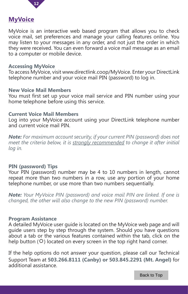

#### <span id="page-13-0"></span>**MyVoice**

MyVoice is an interactive web based program that allows you to check voice mail, set preferences and manage your calling features online. You may listen to your messages in any order, and not just the order in which they were received. You can even forward a voice mail message as an email to a computer or mobile device.

#### **Accessing MyVoice**

To access MyVoice, visit www.directlink.coop/MyVoice. Enter your DirectLink telephone number and your voice mail PIN (password) to log in.

#### **New Voice Mail Members**

You must first set up your voice mail service and PIN number using your home telephone before using this service.

#### **Current Voice Mail Members**

Log into your MyVoice account using your DirectLink telephone number and current voice mail PIN.

*Note: For maximum account security, if your current PIN (password) does not meet the criteria below, it is strongly recommended to change it after initial log in.* 

#### **PIN (password) Tips**

Your PIN (password) number may be 4 to 10 numbers in length, cannot repeat more than two numbers in a row, use any portion of your home telephone number, or use more than two numbers sequentially.

*Note: Your MyVoice PIN (password) and voice mail PIN are linked. If one is changed, the other will also change to the new PIN (password) number.* 

#### **Program Assistance**

A detailed MyVoice user guide is located on the MyVoice web page and will guide users step by step through the system. Should you have questions about a tab or the various features contained within the tab, click on the help button ( $\ddot{\varphi}$ ) located on every screen in the top right hand corner.

If the help options do not answer your question, please call our Technical Support Team at **503.266.8111 (Canby) or 503.845.2291 (Mt. Angel)** for additional assistance.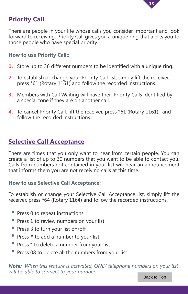

## <span id="page-14-0"></span>**Priority Call**

There are people in your life whose calls you consider important and look forward to receiving. Priority Call gives you a unique ring that alerts you to those people who have special priority.

#### **How to use Priority Call:;**

- **1.** Store up to 36 different numbers to be identified with a unique ring.
- **2.** To establish or change your Priority Call list, simply lift the receiver, press \*61 (Rotary 1161) and follow the recorded instructions.
- **3.** Members with Call Waiting will have their Priority Calls identified by a special tone if they are on another call.
- **4.** To cancel Priority Call, lift the receiver, press \*61 (Rotary 1161) and follow the recorded instructions.

## **Selective Call Acceptance**

There are times that you only want to hear from certain people. You can create a list of up to 30 numbers that you want to be able to contact you. Calls from numbers not contained in your list will hear an announcement that informs them you are not receiving calls at this time.

#### **How to use Selective Call Acceptance:**

To establish or change your Selective Call Acceptance list, simply lift the receiver, press \*64 (Rotary 1164) and follow the recorded instructions.

- Press 0 to repeat instructions
- Press 1 to review numbers on your list
- Press 3 to turn your list on/off
- Press # to add a number to your list
- Press \* to delete a number from your list
- Press 08 to delete all the numbers from your list.

*Note: When this feature is activated, ONLY telephone numbers on your list will be able to connect to your number.*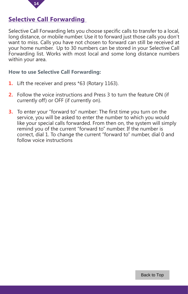

## <span id="page-15-0"></span>**Selective Call Forwarding**

Selective Call Forwarding lets you choose specific calls to transfer to a local, long distance, or mobile number. Use it to forward just those calls you don't want to miss. Calls you have not chosen to forward can still be received at your home number. Up to 30 numbers can be stored in your Selective Call Forwarding list. Works with most local and some long distance numbers within your area.

#### **How to use Selective Call Forwarding:**

- **1.** Lift the receiver and press \*63 (Rotary 1163).
- **2.** Follow the voice instructions and Press 3 to turn the feature ON (if currently off) or OFF (if currently on).
- **3.** To enter your "forward to" number: The first time you turn on the service, you will be asked to enter the number to which you would like your special calls forwarded. From then on, the system will simply remind you of the current "forward to" number. If the number is correct, dial 1. To change the current "forward to" number, dial 0 and follow voice instructions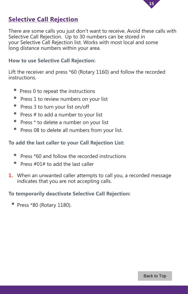

## <span id="page-16-0"></span>**Selective Call Rejection**

There are some calls you just don't want to receive. Avoid these calls with Selective Call Rejection. Up to 30 numbers can be stored in your Selective Call Rejection list. Works with most local and some long distance numbers within your area.

#### **How to use Selective Call Rejection:**

Lift the receiver and press \*60 (Rotary 1160) and follow the recorded instructions.

- Press 0 to repeat the instructions
- Press 1 to review numbers on your list
- Press 3 to turn your list on/off
- Press  $#$  to add a number to your list
- Press \* to delete a number on your list
- Press 08 to delete all numbers from your list.

#### **To add the last caller to your Call Rejection List:**

- Press \*60 and follow the recorded instructions
- Press  $#01#$  to add the last caller
- **1.** When an unwanted caller attempts to call you, a recorded message indicates that you are not accepting calls.

#### **To temporarily deactivate Selective Call Rejection:**

• Press \*80 (Rotary 1180).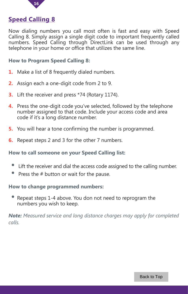

### <span id="page-17-0"></span>**Speed Calling 8**

Now dialing numbers you call most often is fast and easy with Speed Calling 8. Simply assign a single digit code to important frequently called numbers. Speed Calling through DirectLink can be used through any telephone in your home or office that utilizes the same line.

#### **How to Program Speed Calling 8:**

- **1.** Make a list of 8 frequently dialed numbers.
- **2.** Assign each a one-digit code from 2 to 9.
- **3.** Lift the receiver and press \*74 (Rotary 1174).
- **4.** Press the one-digit code you've selected, followed by the telephone number assigned to that code. Include your access code and area code if it's a long distance number.
- **5.** You will hear a tone confirming the number is programmed.
- **6.** Repeat steps 2 and 3 for the other 7 numbers.

#### **How to call someone on your Speed Calling list:**

- Lift the receiver and dial the access code assigned to the calling number.
- Press the # button or wait for the pause.

#### **How to change programmed numbers:**

Repeat steps 1-4 above. You don not need to reprogram the numbers you wish to keep.

*Note: Measured service and long distance charges may apply for completed calls.*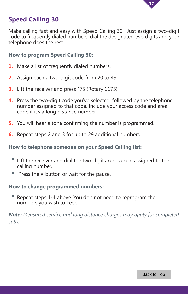

## <span id="page-18-0"></span>**Speed Calling 30**

Make calling fast and easy with Speed Calling 30. Just assign a two-digit code to frequently dialed numbers, dial the designated two digits and your telephone does the rest.

#### **How to program Speed Calling 30:**

- **1.** Make a list of frequently dialed numbers.
- **2.** Assign each a two-digit code from 20 to 49.
- **3.** Lift the receiver and press \*75 (Rotary 1175).
- **4.** Press the two-digit code you've selected, followed by the telephone number assigned to that code. Include your access code and area code if it's a long distance number.
- **5.** You will hear a tone confirming the number is programmed.
- **6.** Repeat steps 2 and 3 for up to 29 additional numbers.

#### **How to telephone someone on your Speed Calling list:**

- Lift the receiver and dial the two-digit access code assigned to the calling number.
- Press the # button or wait for the pause.

#### **How to change programmed numbers:**

 • Repeat steps 1-4 above. You don not need to reprogram the numbers you wish to keep.

*Note: Measured service and long distance charges may apply for completed calls.*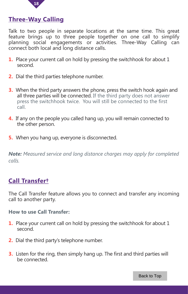

### <span id="page-19-0"></span>**Three-Way Calling**

Talk to two people in separate locations at the same time. This great feature brings up to three people together on one call to simplify planning social engagements or activities. Three-Way Calling can connect both local and long distance calls.

- **1.** Place your current call on hold by pressing the switchhook for about 1 second.
- **2.** Dial the third parties telephone number.
- **3.** When the third party answers the phone, press the switch hook again and all three parties will be connected. If the third party does not answer press the switchhook twice. You will still be connected to the first call.
- **4.** If any on the people you called hang up, you will remain connected to the other person.
- **5.** When you hang up, everyone is disconnected.

*Note: Measured service and long distance charges may apply for completed calls.*

## **Call Transfer†**

The Call Transfer feature allows you to connect and transfer any incoming call to another party.

#### **How to use Call Transfer:**

- **1.** Place your current call on hold by pressing the switchhook for about 1 second.
- **2.** Dial the third party's telephone number.
- **3.** Listen for the ring, then simply hang up. The first and third parties will be connected.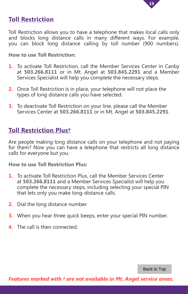

## <span id="page-20-0"></span>**Toll Restriction**

Toll Restriction allows you to have a telephone that makes local calls only and blocks long distance calls in many different ways. For example, you can block long distance calling by toll number (900 numbers).

#### **How to use Toll Restriction:**

- **1.** To activate Toll Restriction, call the Member Services Center in Canby at **503.266.8111** or in Mt. Angel at **503.845.2291** and a Member Services Specialist will help you complete the necessary steps.
- **2.** Once Toll Restriction is in place, your telephone will not place the types of long distance calls you have selected.
- **3.** To deactivate Toll Restriction on your line, please call the Member Services Center at **503.266.8111** or in Mt. Angel at **503.845.2291**.

## **Toll Restriction Plus†**

Are people making long distance calls on your telephone and not paying for them? Now you can have a telephone that restricts all long distance calls for everyone but you.

#### **How to use Toll Restriction Plus:**

- **1.** To activate Toll Restriction Plus, call the Member Services Center at **503.266.8111** and a Member Services Specialist will help you complete the necessary steps, including selecting your special PIN that lets only you make long-distance calls.
- **2.** Dial the long distance number.
- **3.** When you hear three quick beeps, enter your special PIN number.
- **4.** The call is then connected.

Back to Top

*Features marked with † are not available in Mt. Angel service areas.*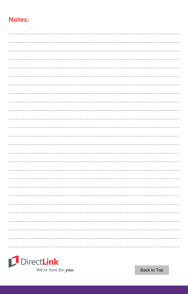## **Notes:**



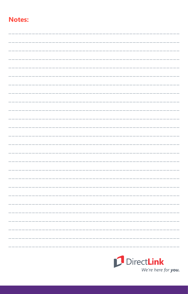## **Notes:**